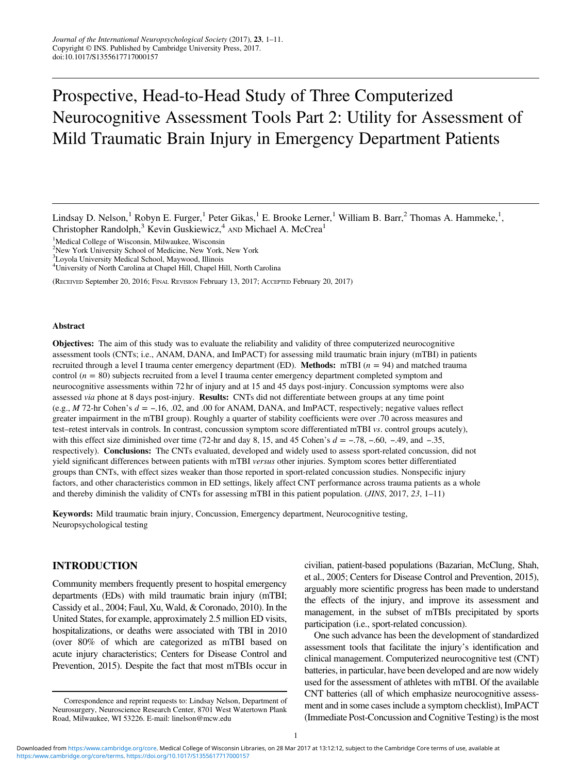# Prospective, Head-to-Head Study of Three Computerized Neurocognitive Assessment Tools Part 2: Utility for Assessment of Mild Traumatic Brain Injury in Emergency Department Patients

Lindsay D. Nelson,<sup>1</sup> Robyn E. Furger,<sup>1</sup> Peter Gikas,<sup>1</sup> E. Brooke Lerner,<sup>1</sup> William B. Barr,<sup>2</sup> Thomas A. Hammeke,<sup>1</sup>, Christopher Randolph,<sup>3</sup> Kevin Guskiewicz,<sup>4</sup> AND Michael A. McCrea<sup>1</sup>

<sup>1</sup>Medical College of Wisconsin, Milwaukee, Wisconsin

2 New York University School of Medicine, New York, New York

3 Loyola University Medical School, Maywood, Illinois

4 University of North Carolina at Chapel Hill, Chapel Hill, North Carolina

(RECEIVED September 20, 2016; FINAL REVISION February 13, 2017; ACCEPTED February 20, 2017)

#### Abstract

Objectives: The aim of this study was to evaluate the reliability and validity of three computerized neurocognitive assessment tools (CNTs; i.e., ANAM, DANA, and ImPACT) for assessing mild traumatic brain injury (mTBI) in patients recruited through a level I trauma center emergency department (ED). **Methods:** mTBI ( $n = 94$ ) and matched trauma control  $(n = 80)$  subjects recruited from a level I trauma center emergency department completed symptom and neurocognitive assessments within 72 hr of injury and at 15 and 45 days post-injury. Concussion symptoms were also assessed via phone at 8 days post-injury. Results: CNTs did not differentiate between groups at any time point (e.g., <sup>M</sup> 72-hr Cohen'<sup>s</sup> <sup>d</sup> <sup>=</sup> <sup>−</sup>.16, .02, and .00 for ANAM, DANA, and ImPACT, respectively; negative values reflect (e.g., *M* /2-nr Conen s *a* = -.10, .02, and .00 for AINAM, DAINA, and ImPAC1, respectively; negative values reflect greater impairment in the mTBI group). Roughly a quarter of stability coefficients were over .70 across test–retest intervals in controls. In contrast, concussion symptom score differentiated mTBI vs. control groups acutely), respectively). Conclusions: The CNTs evaluated, developed and widely used to assess sport-related concussion, did not yield significant differences between patients with mTBI versus other injuries. Symptom scores better differentiated groups than CNTs, with effect sizes weaker than those reported in sport-related concussion studies. Nonspecific injury factors, and other characteristics common in ED settings, likely affect CNT performance across trauma patients as a whole and thereby diminish the validity of CNTs for assessing mTBI in this patient population. (JINS, 2017, 23, 1–11)

Keywords: Mild traumatic brain injury, Concussion, Emergency department, Neurocognitive testing, Neuropsychological testing

## INTRODUCTION

Community members frequently present to hospital emergency departments (EDs) with mild traumatic brain injury (mTBI; Cassidy et al., [2004](#page-8-0); Faul, Xu, Wald, & Coronado, [2010\)](#page-9-0). In the United States, for example, approximately 2.5 million ED visits, hospitalizations, or deaths were associated with TBI in 2010 (over 80% of which are categorized as mTBI based on acute injury characteristics; Centers for Disease Control and Prevention, [2015\)](#page-8-0). Despite the fact that most mTBIs occur in civilian, patient-based populations (Bazarian, McClung, Shah, et al., [2005;](#page-8-0) Centers for Disease Control and Prevention, [2015](#page-8-0)), arguably more scientific progress has been made to understand the effects of the injury, and improve its assessment and management, in the subset of mTBIs precipitated by sports participation (i.e., sport-related concussion).

One such advance has been the development of standardized assessment tools that facilitate the injury's identification and clinical management. Computerized neurocognitive test (CNT) batteries, in particular, have been developed and are now widely used for the assessment of athletes with mTBI. Of the available CNT batteries (all of which emphasize neurocognitive assessment and in some cases include a symptom checklist), ImPACT (Immediate Post-Concussion and Cognitive Testing) is the most

Correspondence and reprint requests to: Lindsay Nelson, Department of Neurosurgery, Neuroscience Research Center, 8701 West Watertown Plank Road, Milwaukee, WI 53226. E-mail: [linelson@mcw.edu](mailto:linelson@mcw.edu)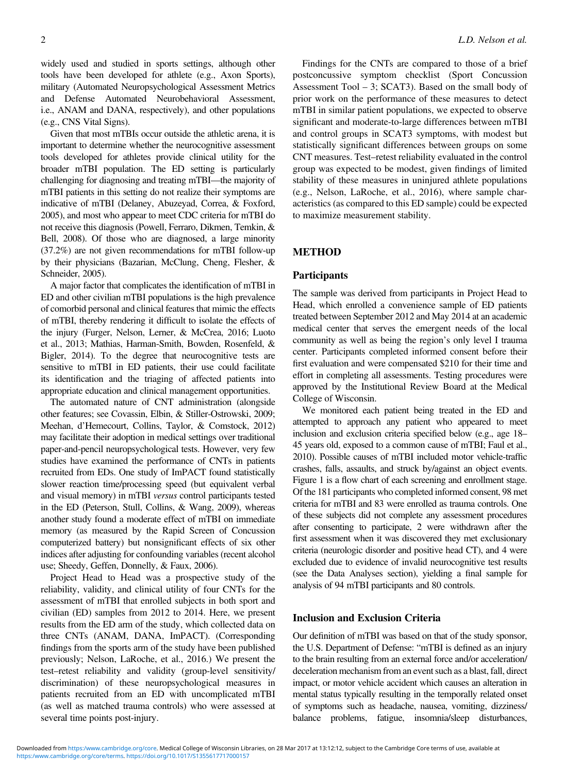widely used and studied in sports settings, although other tools have been developed for athlete (e.g., Axon Sports), military (Automated Neuropsychological Assessment Metrics and Defense Automated Neurobehavioral Assessment, i.e., ANAM and DANA, respectively), and other populations (e.g., CNS Vital Signs).

Given that most mTBIs occur outside the athletic arena, it is important to determine whether the neurocognitive assessment tools developed for athletes provide clinical utility for the broader mTBI population. The ED setting is particularly challenging for diagnosing and treating mTBI—the majority of mTBI patients in this setting do not realize their symptoms are indicative of mTBI (Delaney, Abuzeyad, Correa, & Foxford, [2005\)](#page-9-0), and most who appear to meet CDC criteria for mTBI do not receive this diagnosis (Powell, Ferraro, Dikmen, Temkin, & Bell, [2008\)](#page-9-0). Of those who are diagnosed, a large minority (37.2%) are not given recommendations for mTBI follow-up by their physicians (Bazarian, McClung, Cheng, Flesher, & Schneider, [2005\)](#page-8-0).

A major factor that complicates the identification of mTBI in ED and other civilian mTBI populations is the high prevalence of comorbid personal and clinical features that mimic the effects of mTBI, thereby rendering it difficult to isolate the effects of the injury (Furger, Nelson, Lerner, & McCrea, [2016](#page-9-0); Luoto et al., [2013;](#page-9-0) Mathias, Harman-Smith, Bowden, Rosenfeld, & Bigler, [2014](#page-9-0)). To the degree that neurocognitive tests are sensitive to mTBI in ED patients, their use could facilitate its identification and the triaging of affected patients into appropriate education and clinical management opportunities.

The automated nature of CNT administration (alongside other features; see Covassin, Elbin, & Stiller-Ostrowski, [2009](#page-9-0); Meehan, d'Hemecourt, Collins, Taylor, & Comstock, [2012\)](#page-9-0) may facilitate their adoption in medical settings over traditional paper-and-pencil neuropsychological tests. However, very few studies have examined the performance of CNTs in patients recruited from EDs. One study of ImPACT found statistically slower reaction time/processing speed (but equivalent verbal and visual memory) in mTBI versus control participants tested in the ED (Peterson, Stull, Collins, & Wang, [2009\)](#page-9-0), whereas another study found a moderate effect of mTBI on immediate memory (as measured by the Rapid Screen of Concussion computerized battery) but nonsignificant effects of six other indices after adjusting for confounding variables (recent alcohol use; Sheedy, Geffen, Donnelly, & Faux, [2006\)](#page-10-0).

Project Head to Head was a prospective study of the reliability, validity, and clinical utility of four CNTs for the assessment of mTBI that enrolled subjects in both sport and civilian (ED) samples from 2012 to 2014. Here, we present results from the ED arm of the study, which collected data on three CNTs (ANAM, DANA, ImPACT). (Corresponding findings from the sports arm of the study have been published previously; Nelson, LaRoche, et al., [2016](#page-9-0).) We present the test–retest reliability and validity (group-level sensitivity/ discrimination) of these neuropsychological measures in patients recruited from an ED with uncomplicated mTBI (as well as matched trauma controls) who were assessed at several time points post-injury.

Findings for the CNTs are compared to those of a brief postconcussive symptom checklist (Sport Concussion Assessment Tool – 3; SCAT3). Based on the small body of prior work on the performance of these measures to detect mTBI in similar patient populations, we expected to observe significant and moderate-to-large differences between mTBI and control groups in SCAT3 symptoms, with modest but statistically significant differences between groups on some CNT measures. Test–retest reliability evaluated in the control group was expected to be modest, given findings of limited stability of these measures in uninjured athlete populations (e.g., Nelson, LaRoche, et al., [2016](#page-9-0)), where sample characteristics (as compared to this ED sample) could be expected to maximize measurement stability.

# METHOD

#### **Participants**

The sample was derived from participants in Project Head to Head, which enrolled a convenience sample of ED patients treated between September 2012 and May 2014 at an academic medical center that serves the emergent needs of the local community as well as being the region's only level I trauma center. Participants completed informed consent before their first evaluation and were compensated \$210 for their time and effort in completing all assessments. Testing procedures were approved by the Institutional Review Board at the Medical College of Wisconsin.

We monitored each patient being treated in the ED and attempted to approach any patient who appeared to meet inclusion and exclusion criteria specified below (e.g., age 18– 45 years old, exposed to a common cause of mTBI; Faul et al., [2010\)](#page-9-0). Possible causes of mTBI included motor vehicle-traffic crashes, falls, assaults, and struck by/against an object events. [Figure 1](#page-2-0) is a flow chart of each screening and enrollment stage. Of the 181 participants who completed informed consent, 98 met criteria for mTBI and 83 were enrolled as trauma controls. One of these subjects did not complete any assessment procedures after consenting to participate, 2 were withdrawn after the first assessment when it was discovered they met exclusionary criteria (neurologic disorder and positive head CT), and 4 were excluded due to evidence of invalid neurocognitive test results (see the Data Analyses section), yielding a final sample for analysis of 94 mTBI participants and 80 controls.

## Inclusion and Exclusion Criteria

Our definition of mTBI was based on that of the study sponsor, the U.S. Department of Defense: "mTBI is defined as an injury to the brain resulting from an external force and/or acceleration/ deceleration mechanism from an event such as a blast, fall, direct impact, or motor vehicle accident which causes an alteration in mental status typically resulting in the temporally related onset of symptoms such as headache, nausea, vomiting, dizziness/ balance problems, fatigue, insomnia/sleep disturbances,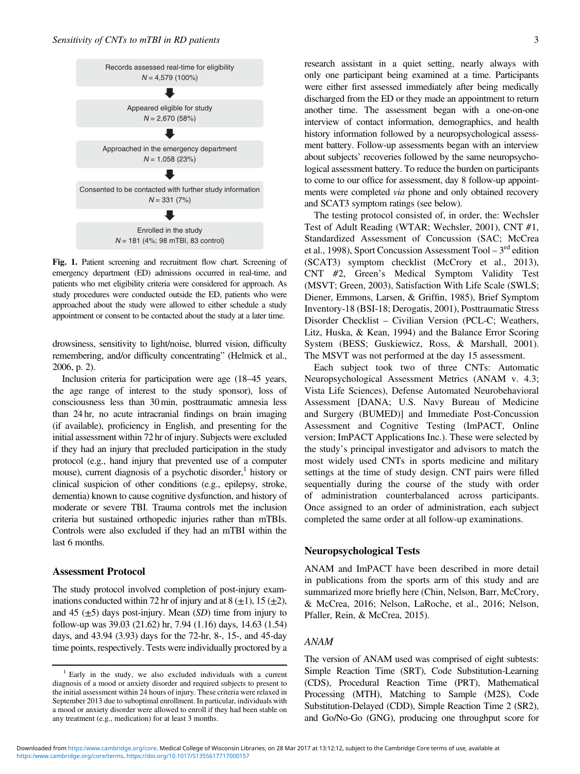<span id="page-2-0"></span>

Fig. 1. Patient screening and recruitment flow chart. Screening of emergency department (ED) admissions occurred in real-time, and patients who met eligibility criteria were considered for approach. As study procedures were conducted outside the ED, patients who were approached about the study were allowed to either schedule a study appointment or consent to be contacted about the study at a later time.

drowsiness, sensitivity to light/noise, blurred vision, difficulty remembering, and/or difficulty concentrating" (Helmick et al., [2006,](#page-9-0) p. 2).

Inclusion criteria for participation were age (18–45 years, the age range of interest to the study sponsor), loss of consciousness less than 30 min, posttraumatic amnesia less than 24 hr, no acute intracranial findings on brain imaging (if available), proficiency in English, and presenting for the initial assessment within 72 hr of injury. Subjects were excluded if they had an injury that precluded participation in the study protocol (e.g., hand injury that prevented use of a computer mouse), current diagnosis of a psychotic disorder, $<sup>1</sup>$  history or</sup> clinical suspicion of other conditions (e.g., epilepsy, stroke, dementia) known to cause cognitive dysfunction, and history of moderate or severe TBI. Trauma controls met the inclusion criteria but sustained orthopedic injuries rather than mTBIs. Controls were also excluded if they had an mTBI within the last 6 months.

## Assessment Protocol

The study protocol involved completion of post-injury examinations conducted within 72 hr of injury and at 8  $(\pm 1)$ , 15  $(\pm 2)$ , and 45  $(\pm 5)$  days post-injury. Mean (SD) time from injury to follow-up was 39.03 (21.62) hr, 7.94 (1.16) days, 14.63 (1.54) days, and 43.94 (3.93) days for the 72-hr, 8-, 15-, and 45-day time points, respectively. Tests were individually proctored by a research assistant in a quiet setting, nearly always with only one participant being examined at a time. Participants were either first assessed immediately after being medically discharged from the ED or they made an appointment to return another time. The assessment began with a one-on-one interview of contact information, demographics, and health history information followed by a neuropsychological assessment battery. Follow-up assessments began with an interview about subjects' recoveries followed by the same neuropsychological assessment battery. To reduce the burden on participants to come to our office for assessment, day 8 follow-up appointments were completed via phone and only obtained recovery and SCAT3 symptom ratings (see below).

The testing protocol consisted of, in order, the: Wechsler Test of Adult Reading (WTAR; Wechsler, [2001\)](#page-10-0), CNT #1, Standardized Assessment of Concussion (SAC; McCrea et al., [1998\)](#page-9-0), Sport Concussion Assessment Tool –  $3<sup>rd</sup>$  edition (SCAT3) symptom checklist (McCrory et al., [2013](#page-9-0)), CNT #2, Green's Medical Symptom Validity Test (MSVT; Green, [2003](#page-9-0)), Satisfaction With Life Scale (SWLS; Diener, Emmons, Larsen, & Griffin, [1985](#page-9-0)), Brief Symptom Inventory-18 (BSI-18; Derogatis, [2001\)](#page-9-0), Posttraumatic Stress Disorder Checklist – Civilian Version (PCL-C; Weathers, Litz, Huska, & Kean, [1994](#page-10-0)) and the Balance Error Scoring System (BESS; Guskiewicz, Ross, & Marshall, [2001](#page-9-0)). The MSVT was not performed at the day 15 assessment.

Each subject took two of three CNTs: Automatic Neuropsychological Assessment Metrics (ANAM v. 4.3; Vista Life Sciences), Defense Automated Neurobehavioral Assessment [DANA; U.S. Navy Bureau of Medicine and Surgery (BUMED)] and Immediate Post-Concussion Assessment and Cognitive Testing (ImPACT, Online version; ImPACT Applications Inc.). These were selected by the study's principal investigator and advisors to match the most widely used CNTs in sports medicine and military settings at the time of study design. CNT pairs were filled sequentially during the course of the study with order of administration counterbalanced across participants. Once assigned to an order of administration, each subject completed the same order at all follow-up examinations.

## Neuropsychological Tests

ANAM and ImPACT have been described in more detail in publications from the sports arm of this study and are summarized more briefly here (Chin, Nelson, Barr, McCrory, & McCrea, [2016](#page-8-0); Nelson, LaRoche, et al., [2016](#page-9-0); Nelson, Pfaller, Rein, & McCrea, [2015](#page-9-0)).

# ANAM

The version of ANAM used was comprised of eight subtests: Simple Reaction Time (SRT), Code Substitution-Learning (CDS), Procedural Reaction Time (PRT), Mathematical Processing (MTH), Matching to Sample (M2S), Code Substitution-Delayed (CDD), Simple Reaction Time 2 (SR2), and Go/No-Go (GNG), producing one throughput score for

<sup>1</sup> Early in the study, we also excluded individuals with a current diagnosis of a mood or anxiety disorder and required subjects to present to the initial assessment within 24 hours of injury. These criteria were relaxed in September 2013 due to suboptimal enrollment. In particular, individuals with a mood or anxiety disorder were allowed to enroll if they had been stable on any treatment (e.g., medication) for at least 3 months.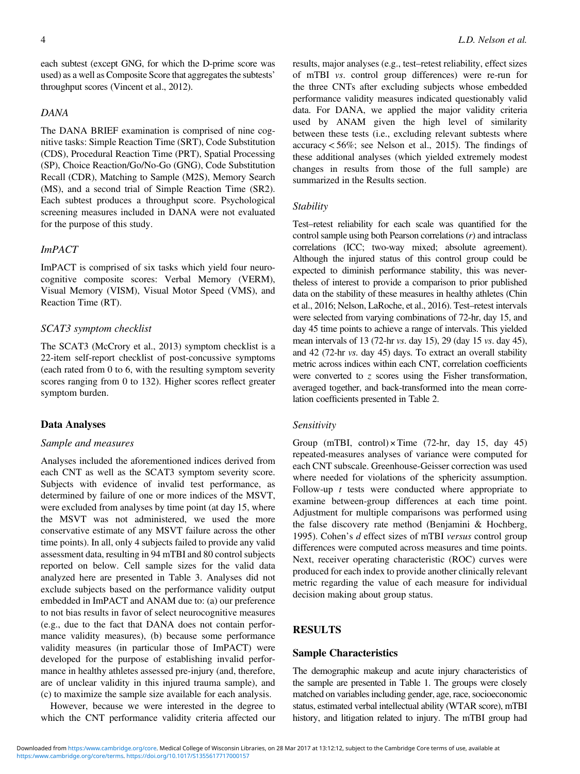each subtest (except GNG, for which the D-prime score was used) as a well as Composite Score that aggregates the subtests' throughput scores (Vincent et al., [2012](#page-10-0)).

# DANA

The DANA BRIEF examination is comprised of nine cognitive tasks: Simple Reaction Time (SRT), Code Substitution (CDS), Procedural Reaction Time (PRT), Spatial Processing (SP), Choice Reaction/Go/No-Go (GNG), Code Substitution Recall (CDR), Matching to Sample (M2S), Memory Search (MS), and a second trial of Simple Reaction Time (SR2). Each subtest produces a throughput score. Psychological screening measures included in DANA were not evaluated for the purpose of this study.

# ImPACT

ImPACT is comprised of six tasks which yield four neurocognitive composite scores: Verbal Memory (VERM), Visual Memory (VISM), Visual Motor Speed (VMS), and Reaction Time (RT).

# SCAT3 symptom checklist

The SCAT3 (McCrory et al., [2013\)](#page-9-0) symptom checklist is a 22-item self-report checklist of post-concussive symptoms (each rated from 0 to 6, with the resulting symptom severity scores ranging from 0 to 132). Higher scores reflect greater symptom burden.

# Data Analyses

#### Sample and measures

Analyses included the aforementioned indices derived from each CNT as well as the SCAT3 symptom severity score. Subjects with evidence of invalid test performance, as determined by failure of one or more indices of the MSVT, were excluded from analyses by time point (at day 15, where the MSVT was not administered, we used the more conservative estimate of any MSVT failure across the other time points). In all, only 4 subjects failed to provide any valid assessment data, resulting in 94 mTBI and 80 control subjects reported on below. Cell sample sizes for the valid data analyzed here are presented in [Table 3.](#page-6-0) Analyses did not exclude subjects based on the performance validity output embedded in ImPACT and ANAM due to: (a) our preference to not bias results in favor of select neurocognitive measures (e.g., due to the fact that DANA does not contain performance validity measures), (b) because some performance validity measures (in particular those of ImPACT) were developed for the purpose of establishing invalid performance in healthy athletes assessed pre-injury (and, therefore, are of unclear validity in this injured trauma sample), and (c) to maximize the sample size available for each analysis.

However, because we were interested in the degree to which the CNT performance validity criteria affected our

results, major analyses (e.g., test–retest reliability, effect sizes of mTBI vs. control group differences) were re-run for the three CNTs after excluding subjects whose embedded performance validity measures indicated questionably valid data. For DANA, we applied the major validity criteria used by ANAM given the high level of similarity between these tests (i.e., excluding relevant subtests where accuracy<56%; see Nelson et al., [2015](#page-9-0)). The findings of these additional analyses (which yielded extremely modest changes in results from those of the full sample) are summarized in the Results section.

#### **Stability**

Test–retest reliability for each scale was quantified for the control sample using both Pearson correlations  $(r)$  and intraclass correlations (ICC; two-way mixed; absolute agreement). Although the injured status of this control group could be expected to diminish performance stability, this was nevertheless of interest to provide a comparison to prior published data on the stability of these measures in healthy athletes (Chin et al., [2016](#page-8-0); Nelson, LaRoche, et al., [2016](#page-9-0)). Test–retest intervals were selected from varying combinations of 72-hr, day 15, and day 45 time points to achieve a range of intervals. This yielded mean intervals of 13 (72-hr vs. day 15), 29 (day 15 vs. day 45), and 42 (72-hr vs. day 45) days. To extract an overall stability metric across indices within each CNT, correlation coefficients were converted to  $z$  scores using the Fisher transformation, averaged together, and back-transformed into the mean correlation coefficients presented in [Table 2](#page-5-0).

## Sensitivity

Group (mTBI, control) $\times$ Time (72-hr, day 15, day 45) repeated-measures analyses of variance were computed for each CNT subscale. Greenhouse-Geisser correction was used where needed for violations of the sphericity assumption. Follow-up  $t$  tests were conducted where appropriate to examine between-group differences at each time point. Adjustment for multiple comparisons was performed using the false discovery rate method (Benjamini & Hochberg, [1995\)](#page-8-0). Cohen's d effect sizes of mTBI versus control group differences were computed across measures and time points. Next, receiver operating characteristic (ROC) curves were produced for each index to provide another clinically relevant metric regarding the value of each measure for individual decision making about group status.

# **RESULTS**

# Sample Characteristics

The demographic makeup and acute injury characteristics of the sample are presented in [Table 1.](#page-4-0) The groups were closely matched on variables including gender, age, race, socioeconomic status, estimated verbal intellectual ability (WTAR score), mTBI history, and litigation related to injury. The mTBI group had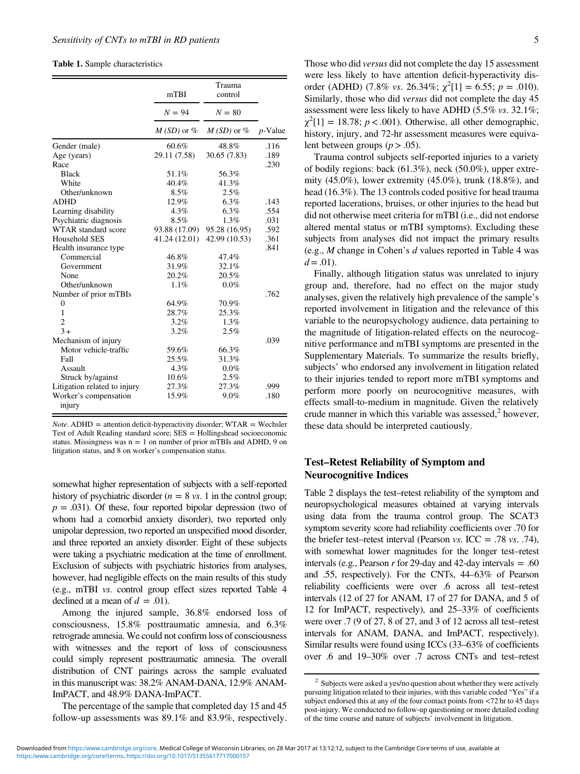#### <span id="page-4-0"></span>Table 1. Sample characteristics

|                                 | mTBI           | Trauma<br>control |            |
|---------------------------------|----------------|-------------------|------------|
|                                 | $N = 94$       | $N = 80$          |            |
|                                 | $M(SD)$ or $%$ | $M(SD)$ or $%$    | $p$ -Value |
| Gender (male)                   | 60.6%          | 48.8%             | .116       |
| Age (years)                     | 29.11 (7.58)   | 30.65 (7.83)      | .189       |
| Race                            |                |                   | .230       |
| <b>Black</b>                    | 51.1%          | 56.3%             |            |
| White                           | 40.4%          | 41.3%             |            |
| Other/unknown                   | 8.5%           | 2.5%              |            |
| <b>ADHD</b>                     | 12.9%          | 6.3%              | .143       |
| Learning disability             | 4.3%           | 6.3%              | .554       |
| Psychiatric diagnosis           | 8.5%           | 1.3%              | .031       |
| WTAR standard score             | 93.88 (17.09)  | 95.28 (16.95)     | .592       |
| Household SES                   | 41.24 (12.01)  | 42.99 (10.53)     | .361       |
| Health insurance type           |                |                   | .841       |
| Commercial                      | 46.8%          | 47.4%             |            |
| Government                      | 31.9%          | 32.1%             |            |
| None                            | 20.2%          | 20.5%             |            |
| Other/unknown                   | 1.1%           | $0.0\%$           |            |
| Number of prior mTBIs           |                |                   | .762       |
| $\overline{0}$                  | 64.9%          | 70.9%             |            |
| 1                               | 28.7%          | 25.3%             |            |
| $\overline{2}$                  | 3.2%           | 1.3%              |            |
| $3+$                            | 3.2%           | 2.5%              |            |
| Mechanism of injury             |                |                   | .039       |
| Motor vehicle-traffic           | 59.6%          | 66.3%             |            |
| Fall                            | 25.5%          | 31.3%             |            |
| Assault                         | $4.3\%$        | $0.0\%$           |            |
| Struck by/against               | 10.6%          | 2.5%              |            |
| Litigation related to injury    | 27.3%          | 27.3%             | .999       |
| Worker's compensation<br>injury | 15.9%          | $9.0\%$           | .180       |

 $Note. ADHD = attention deficit-hyperactivity disorder; WTAR = Wechsler$ Test of Adult Reading standard score; SES = Hollingshead socioeconomic status. Missingness was  $n = 1$  on number of prior mTBIs and ADHD, 9 on litigation status, and 8 on worker's compensation status.

somewhat higher representation of subjects with a self-reported history of psychiatric disorder ( $n = 8$  vs. 1 in the control group;  $p = .031$ ). Of these, four reported bipolar depression (two of whom had a comorbid anxiety disorder), two reported only unipolar depression, two reported an unspecified mood disorder, and three reported an anxiety disorder. Eight of these subjects were taking a psychiatric medication at the time of enrollment. Exclusion of subjects with psychiatric histories from analyses, however, had negligible effects on the main results of this study (e.g., mTBI vs. control group effect sizes reported [Table 4](#page-7-0) declined at a mean of  $d = .01$ ).

Among the injured sample, 36.8% endorsed loss of consciousness, 15.8% posttraumatic amnesia, and 6.3% retrograde amnesia. We could not confirm loss of consciousness with witnesses and the report of loss of consciousness could simply represent posttraumatic amnesia. The overall distribution of CNT pairings across the sample evaluated in this manuscript was: 38.2% ANAM-DANA, 12.9% ANAM-ImPACT, and 48.9% DANA-ImPACT.

The percentage of the sample that completed day 15 and 45 follow-up assessments was 89.1% and 83.9%, respectively.

Those who did versus did not complete the day 15 assessment were less likely to have attention deficit-hyperactivity disorder (ADHD) (7.8% vs. 26.34%;  $\chi^2[1] = 6.55$ ;  $p = .010$ ). Similarly, those who did versus did not complete the day 45 assessment were less likely to have ADHD (5.5% vs. 32.1%;  $\chi^2[1] = 18.78$ ;  $p < .001$ ). Otherwise, all other demographic, history, injury, and 72-hr assessment measures were equivalent between groups ( $p > .05$ ).

Trauma control subjects self-reported injuries to a variety of bodily regions: back (61.3%), neck (50.0%), upper extremity (45.0%), lower extremity (45.0%), trunk (18.8%), and head (16.3%). The 13 controls coded positive for head trauma reported lacerations, bruises, or other injuries to the head but did not otherwise meet criteria for mTBI (i.e., did not endorse altered mental status or mTBI symptoms). Excluding these subjects from analyses did not impact the primary results (e.g., M change in Cohen's d values reported in [Table 4](#page-7-0) was  $d = .01$ ).

Finally, although litigation status was unrelated to injury group and, therefore, had no effect on the major study analyses, given the relatively high prevalence of the sample's reported involvement in litigation and the relevance of this variable to the neuropsychology audience, data pertaining to the magnitude of litigation-related effects on the neurocognitive performance and mTBI symptoms are presented in the Supplementary Materials. To summarize the results briefly, subjects' who endorsed any involvement in litigation related to their injuries tended to report more mTBI symptoms and perform more poorly on neurocognitive measures, with effects small-to-medium in magnitude. Given the relatively crude manner in which this variable was assessed, $2$  however, these data should be interpreted cautiously.

# Test–Retest Reliability of Symptom and Neurocognitive Indices

[Table 2](#page-5-0) displays the test–retest reliability of the symptom and neuropsychological measures obtained at varying intervals using data from the trauma control group. The SCAT3 symptom severity score had reliability coefficients over .70 for the briefer test–retest interval (Pearson *vs.* ICC = .78 *vs.* .74), with somewhat lower magnitudes for the longer test–retest intervals (e.g., Pearson  $r$  for 29-day and 42-day intervals = .60 and .55, respectively). For the CNTs, 44–63% of Pearson reliability coefficients were over .6 across all test–retest intervals (12 of 27 for ANAM, 17 of 27 for DANA, and 5 of 12 for ImPACT, respectively), and 25–33% of coefficients were over .7 (9 of 27, 8 of 27, and 3 of 12 across all test–retest intervals for ANAM, DANA, and ImPACT, respectively). Similar results were found using ICCs (33–63% of coefficients over .6 and 19–30% over .7 across CNTs and test–retest

<sup>&</sup>lt;sup>2</sup> Subjects were asked a yes/no question about whether they were actively pursuing litigation related to their injuries, with this variable coded "Yes" if a subject endorsed this at any of the four contact points from <72 hr to 45 days post-injury. We conducted no follow-up questioning or more detailed coding of the time course and nature of subjects' involvement in litigation.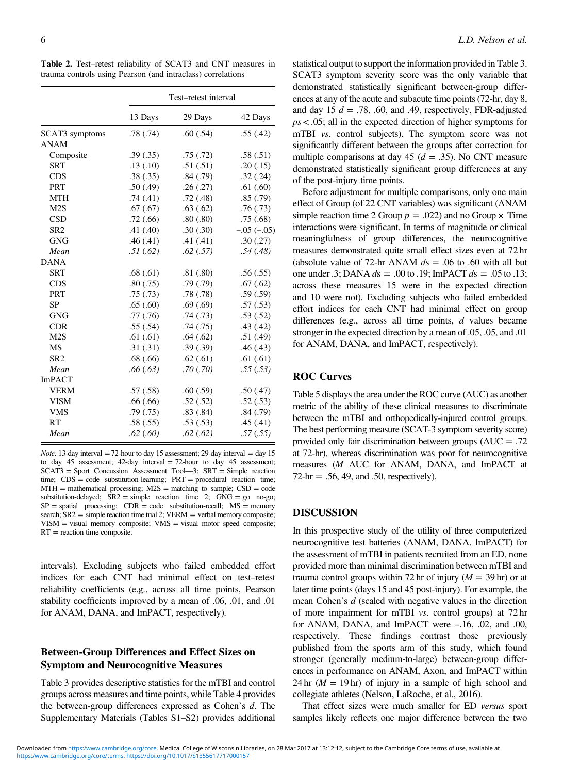<span id="page-5-0"></span>Table 2. Test–retest reliability of SCAT3 and CNT measures in trauma controls using Pearson (and intraclass) correlations

|                 | Test-retest interval |          |                |
|-----------------|----------------------|----------|----------------|
|                 | 13 Days              | 29 Days  | 42 Days        |
| SCAT3 symptoms  | .78(.74)             | .60(.54) | .55(.42)       |
| <b>ANAM</b>     |                      |          |                |
| Composite       | .39(.35)             | .75(.72) | .58(.51)       |
| <b>SRT</b>      | .13(.10)             | .51(.51) | .20(.15)       |
| <b>CDS</b>      | .38(.35)             | .84(.79) | .32(.24)       |
| <b>PRT</b>      | .50(.49)             | .26(.27) | .61(.60)       |
| <b>MTH</b>      | .74(.41)             | .72(.48) | .85(.79)       |
| M2S             | .67(.67)             | .63(.62) | .76(.73)       |
| <b>CSD</b>      | .72(.66)             | .80(.80) | .75(.68)       |
| SR <sub>2</sub> | .41(.40)             | .30(.30) | $-.05 (-0.05)$ |
| <b>GNG</b>      | .46(.41)             | .41(.41) | .30(.27)       |
| Mean            | .51(.62)             | .62(.57) | .54(.48)       |
| <b>DANA</b>     |                      |          |                |
| <b>SRT</b>      | .68(.61)             | .81(.80) | .56(.55)       |
| <b>CDS</b>      | .80(.75)             | .79(.79) | .67(.62)       |
| <b>PRT</b>      | .75(.73)             | .78(.78) | .59(.59)       |
| <b>SP</b>       | .65(.60)             | .69(.69) | .57(.53)       |
| <b>GNG</b>      | .77(.76)             | .74(.73) | .53(.52)       |
| <b>CDR</b>      | .55(.54)             | .74(.75) | .43(.42)       |
| M2S             | .61(.61)             | .64(.62) | .51(.49)       |
| <b>MS</b>       | .31(.31)             | .39(.39) | .46(.43)       |
| SR <sub>2</sub> | .68(.66)             | .62(.61) | .61(.61)       |
| Mean            | .66(.63)             | .70(.70) | .55(.53)       |
| <b>ImPACT</b>   |                      |          |                |
| <b>VERM</b>     | .57(.58)             | .60(.59) | .50(.47)       |
| <b>VISM</b>     | .66(.66)             | .52(.52) | .52(.53)       |
| <b>VMS</b>      | .79(0.75)            | .83(.84) | .84(.79)       |
| RT              | .58(.55)             | .53(.53) | .45(.41)       |
| Mean            | .62(.60)             | .62(.62) | .57(.55)       |

*Note*. 13-day interval  $=72$ -hour to day 15 assessment; 29-day interval  $=$  day 15 to day 45 assessment; 42-day interval  $= 72$ -hour to day 45 assessment; SCAT3 = Sport Concussion Assessment Tool—3; SRT = Simple reaction time; CDS = code substitution-learning; PRT = procedural reaction time;  $MTH =$  mathematical processing;  $M2S =$  matching to sample;  $CSD = \text{code}$ substitution-delayed;  $SR2 = simple$  reaction time 2;  $GNG = go$  no-go;  $SP = spatial processing$ ;  $CDR = code substitution-recall$ ;  $MS = memory$ search;  $SR2 =$  simple reaction time trial 2;  $VERM =$  verbal memory composite;  $VISM = visual memory composite; VMS = visual motor speed composite;$  $RT$  = reaction time composite.

intervals). Excluding subjects who failed embedded effort indices for each CNT had minimal effect on test–retest reliability coefficients (e.g., across all time points, Pearson stability coefficients improved by a mean of .06, .01, and .01 for ANAM, DANA, and ImPACT, respectively).

# Between-Group Differences and Effect Sizes on Symptom and Neurocognitive Measures

[Table 3](#page-6-0) provides descriptive statistics for the mTBI and control groups across measures and time points, while [Table 4](#page-7-0) provides the between-group differences expressed as Cohen's d. The Supplementary Materials (Tables S1–S2) provides additional

statistical output to support the information provided in [Table 3.](#page-6-0) SCAT3 symptom severity score was the only variable that demonstrated statistically significant between-group differences at any of the acute and subacute time points (72-hr, day 8, and day 15  $d = .78, .60,$  and .49, respectively, FDR-adjusted  $ps < .05$ ; all in the expected direction of higher symptoms for mTBI *vs.* control subjects). The symptom score was not significantly different between the groups after correction for multiple comparisons at day 45 ( $d = .35$ ). No CNT measure demonstrated statistically significant group differences at any of the post-injury time points.

Before adjustment for multiple comparisons, only one main effect of Group (of 22 CNT variables) was significant (ANAM simple reaction time 2 Group  $p = .022$ ) and no Group  $\times$  Time interactions were significant. In terms of magnitude or clinical meaningfulness of group differences, the neurocognitive measures demonstrated quite small effect sizes even at 72 hr (absolute value of 72-hr ANAM  $ds = .06$  to .60 with all but one under .3; DANA  $ds = .00$  to .19; ImPACT  $ds = .05$  to .13; across these measures 15 were in the expected direction and 10 were not). Excluding subjects who failed embedded effort indices for each CNT had minimal effect on group differences (e.g., across all time points, d values became stronger in the expected direction by a mean of .05, .05, and .01 for ANAM, DANA, and ImPACT, respectively).

# ROC Curves

[Table 5](#page-7-0) displays the area under the ROC curve (AUC) as another metric of the ability of these clinical measures to discriminate between the mTBI and orthopedically-injured control groups. The best performing measure (SCAT-3 symptom severity score) provided only fair discrimination between groups (AUC = .72 at 72-hr), whereas discrimination was poor for neurocognitive measures (M AUC for ANAM, DANA, and ImPACT at  $72\text{-}hr = .56, 49, \text{ and } .50, \text{ respectively.}$ 

# DISCUSSION

In this prospective study of the utility of three computerized neurocognitive test batteries (ANAM, DANA, ImPACT) for the assessment of mTBI in patients recruited from an ED, none provided more than minimal discrimination between mTBI and trauma control groups within 72 hr of injury  $(M = 39$  hr) or at later time points (days 15 and 45 post-injury). For example, the mean Cohen's d (scaled with negative values in the direction of more impairment for mTBI vs. control groups) at 72 hr fater time points (days 15 and 45 post-injury). For example, the<br>mean Cohen's *d* (scaled with negative values in the direction<br>of more impairment for mTBI *vs*. control groups) at 72 hr<br>for ANAM, DANA, and ImPACT were −.1 respectively. These findings contrast those previously published from the sports arm of this study, which found stronger (generally medium-to-large) between-group differences in performance on ANAM, Axon, and ImPACT within 24 hr  $(M = 19$  hr) of injury in a sample of high school and collegiate athletes (Nelson, LaRoche, et al., [2016](#page-9-0)).

That effect sizes were much smaller for ED versus sport samples likely reflects one major difference between the two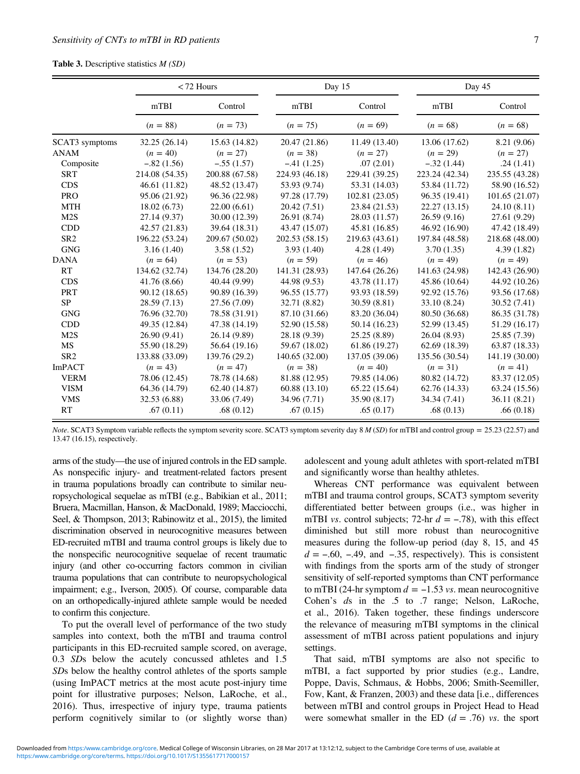#### <span id="page-6-0"></span>Table 3. Descriptive statistics  $M(SD)$

|                 |                | $<$ 72 Hours   | Day 15         |                | Day 45         |                |
|-----------------|----------------|----------------|----------------|----------------|----------------|----------------|
|                 | mTBI           | Control        | mTBI           | Control        | mTBI           | Control        |
|                 | $(n = 88)$     | $(n = 73)$     | $(n = 75)$     | $(n = 69)$     | $(n = 68)$     | $(n = 68)$     |
| SCAT3 symptoms  | 32.25 (26.14)  | 15.63 (14.82)  | 20.47 (21.86)  | 11.49 (13.40)  | 13.06 (17.62)  | 8.21 (9.06)    |
| <b>ANAM</b>     | $(n = 40)$     | $(n = 27)$     | $(n = 38)$     | $(n = 27)$     | $(n = 29)$     | $(n = 27)$     |
| Composite       | $-.82(1.56)$   | $-.55(1.57)$   | $-.41(1.25)$   | .07(2.01)      | $-.32(1.44)$   | .24(1.41)      |
| <b>SRT</b>      | 214.08 (54.35) | 200.88 (67.58) | 224.93 (46.18) | 229.41 (39.25) | 223.24 (42.34) | 235.55 (43.28) |
| <b>CDS</b>      | 46.61 (11.82)  | 48.52 (13.47)  | 53.93 (9.74)   | 53.31 (14.03)  | 53.84 (11.72)  | 58.90 (16.52)  |
| <b>PRO</b>      | 95.06 (21.92)  | 96.36 (22.98)  | 97.28 (17.79)  | 102.81 (23.05) | 96.35 (19.41)  | 101.65 (21.07) |
| <b>MTH</b>      | 18.02(6.73)    | 22.00(6.61)    | 20.42 (7.51)   | 23.84 (21.53)  | 22.27 (13.15)  | 24.10 (8.11)   |
| M2S             | 27.14 (9.37)   | 30.00 (12.39)  | 26.91 (8.74)   | 28.03 (11.57)  | 26.59(9.16)    | 27.61 (9.29)   |
| <b>CDD</b>      | 42.57 (21.83)  | 39.64 (18.31)  | 43.47 (15.07)  | 45.81 (16.85)  | 46.92 (16.90)  | 47.42 (18.49)  |
| SR <sub>2</sub> | 196.22 (53.24) | 209.67 (50.02) | 202.53 (58.15) | 219.63 (43.61) | 197.84 (48.58) | 218.68 (48.00) |
| <b>GNG</b>      | 3.16(1.40)     | 3.58(1.52)     | 3.93(1.40)     | 4.28(1.49)     | 3.70(1.35)     | 4.39(1.82)     |
| <b>DANA</b>     | $(n = 64)$     | $(n = 53)$     | $(n = 59)$     | $(n = 46)$     | $(n = 49)$     | $(n = 49)$     |
| <b>RT</b>       | 134.62 (32.74) | 134.76 (28.20) | 141.31 (28.93) | 147.64 (26.26) | 141.63 (24.98) | 142.43 (26.90) |
| <b>CDS</b>      | 41.76 (8.66)   | 40.44 (9.99)   | 44.98 (9.53)   | 43.78 (11.17)  | 45.86 (10.64)  | 44.92 (10.26)  |
| <b>PRT</b>      | 90.12 (18.65)  | 90.89 (16.39)  | 96.55 (15.77)  | 93.93 (18.59)  | 92.92 (15.76)  | 93.56 (17.68)  |
| <b>SP</b>       | 28.59 (7.13)   | 27.56 (7.09)   | 32.71 (8.82)   | 30.59(8.81)    | 33.10 (8.24)   | 30.52 (7.41)   |
| <b>GNG</b>      | 76.96 (32.70)  | 78.58 (31.91)  | 87.10 (31.66)  | 83.20 (36.04)  | 80.50 (36.68)  | 86.35 (31.78)  |
| <b>CDD</b>      | 49.35 (12.84)  | 47.38 (14.19)  | 52.90 (15.58)  | 50.14 (16.23)  | 52.99 (13.45)  | 51.29 (16.17)  |
| M2S             | 26.90 (9.41)   | 26.14 (9.89)   | 28.18 (9.39)   | 25.25 (8.89)   | 26.04(8.93)    | 25.85 (7.39)   |
| MS              | 55.90 (18.29)  | 56.64 (19.16)  | 59.67 (18.02)  | 61.86 (19.27)  | 62.69 (18.39)  | 63.87 (18.33)  |
| SR <sub>2</sub> | 133.88 (33.09) | 139.76 (29.2)  | 140.65 (32.00) | 137.05 (39.06) | 135.56 (30.54) | 141.19 (30.00) |
| <b>ImPACT</b>   | $(n = 43)$     | $(n = 47)$     | $(n = 38)$     | $(n = 40)$     | $(n = 31)$     | $(n = 41)$     |
| <b>VERM</b>     | 78.06 (12.45)  | 78.78 (14.68)  | 81.88 (12.95)  | 79.85 (14.06)  | 80.82 (14.72)  | 83.37 (12.05)  |
| <b>VISM</b>     | 64.36 (14.79)  | 62.40 (14.87)  | 60.88 (13.10)  | 65.22 (15.64)  | 62.76 (14.33)  | 63.24 (15.56)  |
| <b>VMS</b>      | 32.53 (6.88)   | 33.06 (7.49)   | 34.96 (7.71)   | 35.90 (8.17)   | 34.34 (7.41)   | 36.11 (8.21)   |
| RT              | .67(0.11)      | .68(0.12)      | .67(0.15)      | .65(0.17)      | .68(0.13)      | .66(0.18)      |

Note. SCAT3 Symptom variable reflects the symptom severity score. SCAT3 symptom severity day 8 M (SD) for mTBI and control group = 25.23 (22.57) and 13.47 (16.15), respectively.

arms of the study—the use of injured controls in the ED sample. As nonspecific injury- and treatment-related factors present in trauma populations broadly can contribute to similar neuropsychological sequelae as mTBI (e.g., Babikian et al., [2011](#page-8-0); Bruera, Macmillan, Hanson, & MacDonald, [1989](#page-8-0); Macciocchi, Seel, & Thompson, [2013](#page-9-0); Rabinowitz et al., [2015\)](#page-10-0), the limited discrimination observed in neurocognitive measures between ED-recruited mTBI and trauma control groups is likely due to the nonspecific neurocognitive sequelae of recent traumatic injury (and other co-occurring factors common in civilian trauma populations that can contribute to neuropsychological impairment; e.g., Iverson, [2005\)](#page-9-0). Of course, comparable data on an orthopedically-injured athlete sample would be needed to confirm this conjecture.

To put the overall level of performance of the two study samples into context, both the mTBI and trauma control participants in this ED-recruited sample scored, on average, 0.3 SDs below the acutely concussed athletes and 1.5 SDs below the healthy control athletes of the sports sample (using ImPACT metrics at the most acute post-injury time point for illustrative purposes; Nelson, LaRoche, et al., [2016\)](#page-9-0). Thus, irrespective of injury type, trauma patients perform cognitively similar to (or slightly worse than) adolescent and young adult athletes with sport-related mTBI and significantly worse than healthy athletes.

Whereas CNT performance was equivalent between mTBI and trauma control groups, SCAT3 symptom severity differentiated better between groups (i.e., was higher in whereas CN1 performance was equivalent between<br>mTBI and trauma control groups, SCAT3 symptom severity<br>differentiated better between groups (i.e., was higher in<br>mTBI *vs*. control subjects; 72-hr  $d = -.78$ ), with this effect diminished but still more robust than neurocognitive measures during the follow-up period (day 8, 15, and 45 m1BI *vs.* control subjects;  $/2$ -hr  $d = -.78$ ), with this effect diminished but still more robust than neurocognitive measures during the follow-up period (day 8, 15, and 45  $d = -.60, -.49,$  and  $-.35$ , respectively). This is c  $a = -.60, -.49,$  and  $-.35$ , respectively). This is consistent with findings from the sports arm of the study of stronger sensitivity of self-reported symptoms than CNT performance to mTBI (24-hr symptom  $d = -1.53$  vs. mean neu sensitivity of self-reported symptoms than CNT performance Cohen's ds in the .5 to .7 range; Nelson, LaRoche, et al., [2016](#page-9-0)). Taken together, these findings underscore the relevance of measuring mTBI symptoms in the clinical assessment of mTBI across patient populations and injury settings.

That said, mTBI symptoms are also not specific to mTBI, a fact supported by prior studies (e.g., Landre, Poppe, Davis, Schmaus, & Hobbs, [2006](#page-9-0); Smith-Seemiller, Fow, Kant, & Franzen, [2003\)](#page-10-0) and these data [i.e., differences between mTBI and control groups in Project Head to Head were somewhat smaller in the ED  $(d = .76)$  vs. the sport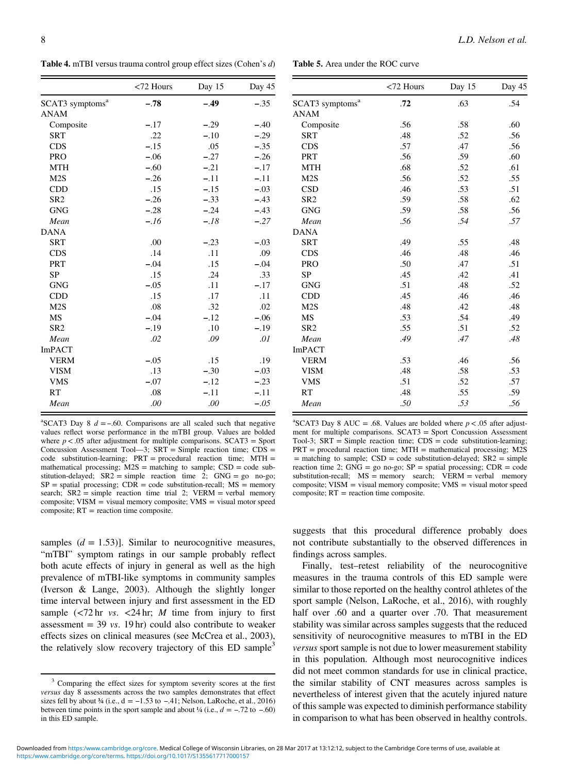<span id="page-7-0"></span>8 L.D. Nelson et al.

Table 4. mTBI versus trauma control group effect sizes (Cohen's d)

Table 5. Area under the ROC curve

|                             | $<$ 72 Hours | Day 15 | Day 45 |
|-----------------------------|--------------|--------|--------|
| SCAT3 symptoms <sup>a</sup> | $-.78$       | $-.49$ | $-.35$ |
| ANAM                        |              |        |        |
| Composite                   | $-.17$       | $-.29$ | $-.40$ |
| <b>SRT</b>                  | .22          | $-.10$ | $-.29$ |
| <b>CDS</b>                  | $-.15$       | .05    | $-.35$ |
| <b>PRO</b>                  | $-.06$       | $-.27$ | $-.26$ |
| <b>MTH</b>                  | $-.60$       | $-.21$ | $-.17$ |
| M2S                         | $-.26$       | $-.11$ | $-.11$ |
| <b>CDD</b>                  | .15          | $-.15$ | $-.03$ |
| SR <sub>2</sub>             | $-.26$       | $-.33$ | $-.43$ |
| <b>GNG</b>                  | $-.28$       | $-.24$ | $-.43$ |
| Mean                        | $-.16$       | $-.18$ | $-.27$ |
| <b>DANA</b>                 |              |        |        |
| <b>SRT</b>                  | .00          | $-.23$ | $-.03$ |
| <b>CDS</b>                  | .14          | .11    | .09    |
| <b>PRT</b>                  | $-.04$       | .15    | $-.04$ |
| <b>SP</b>                   | .15          | .24    | .33    |
| <b>GNG</b>                  | $-.05$       | .11    | $-.17$ |
| CDD                         | .15          | .17    | .11    |
| M <sub>2</sub> S            | .08          | .32    | .02    |
| <b>MS</b>                   | $-.04$       | $-.12$ | $-.06$ |
| SR <sub>2</sub>             | $-.19$       | .10    | $-.19$ |
| Mean                        | .02          | .09    | .01    |
| <b>ImPACT</b>               |              |        |        |
| <b>VERM</b>                 | $-.05$       | .15    | .19    |
| <b>VISM</b>                 | .13          | $-.30$ | $-.03$ |
| <b>VMS</b>                  | $-.07$       | $-.12$ | $-.23$ |
| RT                          | .08          | $-.11$ | $-.11$ |
| Mean                        | .00          | .00    | $-.05$ |

|                             | <72 Hours | Day 15 | Day 45 |
|-----------------------------|-----------|--------|--------|
| SCAT3 symptoms <sup>a</sup> | .72       | .63    | .54    |
| <b>ANAM</b>                 |           |        |        |
| Composite                   | .56       | .58    | .60    |
| <b>SRT</b>                  | .48       | .52    | .56    |
| <b>CDS</b>                  | .57       | .47    | .56    |
| PRT                         | .56       | .59    | .60    |
| <b>MTH</b>                  | .68       | .52    | .61    |
| M2S                         | .56       | .52    | .55    |
| <b>CSD</b>                  | .46       | .53    | .51    |
| SR <sub>2</sub>             | .59       | .58    | .62    |
| <b>GNG</b>                  | .59       | .58    | .56    |
| Mean                        | .56       | .54    | .57    |
| <b>DANA</b>                 |           |        |        |
| <b>SRT</b>                  | .49       | .55    | .48    |
| <b>CDS</b>                  | .46       | .48    | .46    |
| <b>PRO</b>                  | .50       | .47    | .51    |
| <b>SP</b>                   | .45       | .42    | .41    |
| <b>GNG</b>                  | .51       | .48    | .52    |
| <b>CDD</b>                  | .45       | .46    | .46    |
| M <sub>2</sub> S            | .48       | .42    | .48    |
| MS                          | .53       | .54    | .49    |
| SR <sub>2</sub>             | .55       | .51    | .52    |
| Mean                        | .49       | .47    | .48    |
| <b>ImPACT</b>               |           |        |        |
| <b>VERM</b>                 | .53       | .46    | .56    |
| <b>VISM</b>                 | .48       | .58    | .53    |
| <b>VMS</b>                  | .51       | .52    | .57    |
| RT                          | .48       | .55    | .59    |
| Mean                        | .50       | .53    | .56    |

values reflect worse performance in the mTBI group. Values are bolded where  $p < .05$  after adjustment for multiple comparisons. SCAT3 = Sport Concussion Assessment Tool—3;  $SRT =$  Simple reaction time;  $CDS =$ code substitution-learning; PRT = procedural reaction time; MTH = mathematical processing;  $M2S$  = matching to sample;  $CSD$  = code substitution-delayed;  $SR2 = simple$  reaction time 2;  $GNG = go$  no-go;  $SP = spatial processing$ ;  $CDR = code substitution-recall$ ;  $MS = memory$ search;  $SR2$  = simple reaction time trial 2;  $VERM$  = verbal memory composite; VISM = visual memory composite; VMS = visual motor speed  $composition$ ;  $RT$  = reaction time composite.

samples  $(d = 1.53)$ ]. Similar to neurocognitive measures, "mTBI" symptom ratings in our sample probably reflect both acute effects of injury in general as well as the high prevalence of mTBI-like symptoms in community samples (Iverson & Lange, [2003\)](#page-9-0). Although the slightly longer time interval between injury and first assessment in the ED sample  $\langle 72 \text{ hr} \text{ vs. } 24 \text{ hr}; M \text{ time from injury to first }$ assessment  $=$  39 *vs.* 19 hr) could also contribute to weaker effects sizes on clinical measures (see McCrea et al., [2003](#page-9-0)), the relatively slow recovery trajectory of this  $ED$  sample<sup>3</sup>

<sup>a</sup>SCAT3 Day 8 AUC = .68. Values are bolded where  $p < .05$  after adjustment for multiple comparisons. SCAT3 = Sport Concussion Assessment Tool-3; SRT = Simple reaction time; CDS = code substitution-learning; PRT = procedural reaction time; MTH = mathematical processing; M2S  $=$  matching to sample; CSD  $=$  code substitution-delayed; SR2  $=$  simple reaction time 2;  $GNG = go$  no-go;  $SP =$  spatial processing;  $CDR = code$ substitution-recall;  $MS =$  memory search; VERM = verbal memory composite; VISM = visual memory composite; VMS = visual motor speed composite; RT = reaction time composite.

suggests that this procedural difference probably does not contribute substantially to the observed differences in findings across samples.

Finally, test–retest reliability of the neurocognitive measures in the trauma controls of this ED sample were similar to those reported on the healthy control athletes of the sport sample (Nelson, LaRoche, et al., [2016](#page-9-0)), with roughly half over .60 and a quarter over .70. That measurement stability was similar across samples suggests that the reduced sensitivity of neurocognitive measures to mTBI in the ED versus sport sample is not due to lower measurement stability in this population. Although most neurocognitive indices did not meet common standards for use in clinical practice, the similar stability of CNT measures across samples is nevertheless of interest given that the acutely injured nature of this sample was expected to diminish performance stability in comparison to what has been observed in healthy controls.

<sup>&</sup>lt;sup>3</sup> Comparing the effect sizes for symptom severity scores at the first *versus* day 8 assessments across the two samples demonstrates that effect sizes fell by about ¾ (i.e., d = -1.53 to -.41; Nelson, LaRoche, et al., 2 versus day 8 assessments across the two samples demonstrates that effect sizes fell by about ¼ (i.e., d = −1.53 to −.41; Nelson, LaRoche, et al., 2016) between time points in the sport sample and about ¼ (i.e.,  $d = -.72$  to −.60) in this ED sample.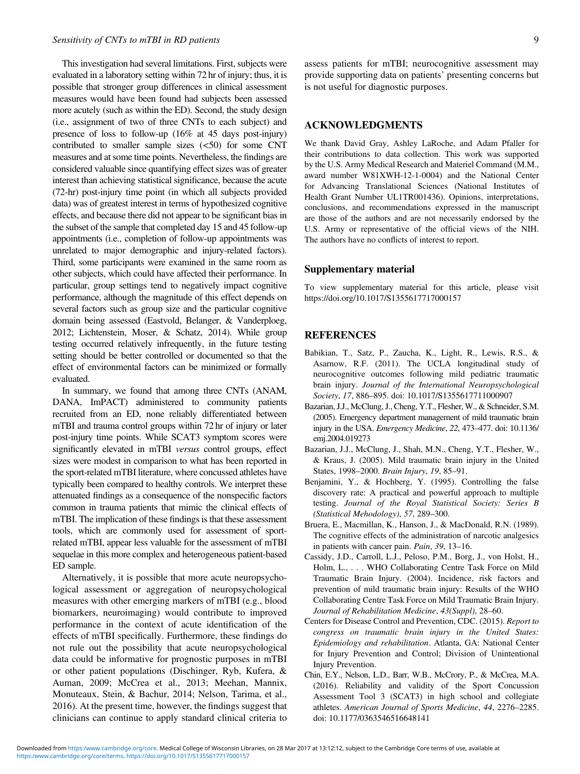<span id="page-8-0"></span>This investigation had several limitations. First, subjects were evaluated in a laboratory setting within 72 hr of injury; thus, it is possible that stronger group differences in clinical assessment measures would have been found had subjects been assessed more acutely (such as within the ED). Second, the study design (i.e., assignment of two of three CNTs to each subject) and presence of loss to follow-up (16% at 45 days post-injury) contributed to smaller sample sizes  $(<50)$  for some CNT measures and at some time points. Nevertheless, the findings are considered valuable since quantifying effect sizes was of greater interest than achieving statistical significance, because the acute (72-hr) post-injury time point (in which all subjects provided data) was of greatest interest in terms of hypothesized cognitive effects, and because there did not appear to be significant bias in the subset of the sample that completed day 15 and 45 follow-up appointments (i.e., completion of follow-up appointments was unrelated to major demographic and injury-related factors). Third, some participants were examined in the same room as other subjects, which could have affected their performance. In particular, group settings tend to negatively impact cognitive performance, although the magnitude of this effect depends on several factors such as group size and the particular cognitive domain being assessed (Eastvold, Belanger, & Vanderploeg, [2012;](#page-9-0) Lichtenstein, Moser, & Schatz, [2014](#page-9-0)). While group testing occurred relatively infrequently, in the future testing setting should be better controlled or documented so that the effect of environmental factors can be minimized or formally evaluated.

In summary, we found that among three CNTs (ANAM, DANA, ImPACT) administered to community patients recruited from an ED, none reliably differentiated between mTBI and trauma control groups within 72 hr of injury or later post-injury time points. While SCAT3 symptom scores were significantly elevated in mTBI versus control groups, effect sizes were modest in comparison to what has been reported in the sport-related mTBI literature, where concussed athletes have typically been compared to healthy controls. We interpret these attenuated findings as a consequence of the nonspecific factors common in trauma patients that mimic the clinical effects of mTBI. The implication of these findings is that these assessment tools, which are commonly used for assessment of sportrelated mTBI, appear less valuable for the assessment of mTBI sequelae in this more complex and heterogeneous patient-based ED sample.

Alternatively, it is possible that more acute neuropsychological assessment or aggregation of neuropsychological measures with other emerging markers of mTBI (e.g., blood biomarkers, neuroimaging) would contribute to improved performance in the context of acute identification of the effects of mTBI specifically. Furthermore, these findings do not rule out the possibility that acute neuropsychological data could be informative for prognostic purposes in mTBI or other patient populations (Dischinger, Ryb, Kufera, & Auman, [2009;](#page-9-0) McCrea et al., [2013;](#page-9-0) Meehan, Mannix, Monuteaux, Stein, & Bachur, [2014;](#page-9-0) Nelson, Tarima, et al., [2016\)](#page-9-0). At the present time, however, the findings suggest that clinicians can continue to apply standard clinical criteria to

assess patients for mTBI; neurocognitive assessment may provide supporting data on patients' presenting concerns but is not useful for diagnostic purposes.

## ACKNOWLEDGMENTS

We thank David Gray, Ashley LaRoche, and Adam Pfaller for their contributions to data collection. This work was supported by the U.S. Army Medical Research and Materiel Command (M.M., award number W81XWH-12-1-0004) and the National Center for Advancing Translational Sciences (National Institutes of Health Grant Number UL1TR001436). Opinions, interpretations, conclusions, and recommendations expressed in the manuscript are those of the authors and are not necessarily endorsed by the U.S. Army or representative of the official views of the NIH. The authors have no conflicts of interest to report.

#### Supplementary material

To view supplementary material for this article, please visit https://doi.org/10.1017/S1355617717000157

#### REFERENCES

- Babikian, T., Satz, P., Zaucha, K., Light, R., Lewis, R.S., & Asarnow, R.F. (2011). The UCLA longitudinal study of neurocognitive outcomes following mild pediatric traumatic brain injury. Journal of the International Neuropsychological Society, 17, 886–895. doi: 10.1017/S1355617711000907
- Bazarian, J.J., McClung, J., Cheng, Y.T., Flesher, W., & Schneider, S.M. (2005). Emergency department management of mild traumatic brain injury in the USA. Emergency Medicine, 22, 473–477. doi: 10.1136/ emj.2004.019273
- Bazarian, J.J., McClung, J., Shah, M.N., Cheng, Y.T., Flesher, W., & Kraus, J. (2005). Mild traumatic brain injury in the United States, 1998–2000. Brain Injury, 19, 85–91.
- Benjamini, Y., & Hochberg, Y. (1995). Controlling the false discovery rate: A practical and powerful approach to multiple testing. Journal of the Royal Statistical Society: Series B (Statistical Mehodology), 57, 289–300.
- Bruera, E., Macmillan, K., Hanson, J., & MacDonald, R.N. (1989). The cognitive effects of the administration of narcotic analgesics in patients with cancer pain. Pain, 39, 13–16.
- Cassidy, J.D., Carroll, L.J., Peloso, P.M., Borg, J., von Holst, H., Holm, L., . . . WHO Collaborating Centre Task Force on Mild Traumatic Brain Injury. (2004). Incidence, risk factors and prevention of mild traumatic brain injury: Results of the WHO Collaborating Centre Task Force on Mild Traumatic Brain Injury. Journal of Rehabilitation Medicine, 43(Suppl), 28–60.
- Centers for Disease Control and Prevention, CDC. (2015). Report to congress on traumatic brain injury in the United States: Epidemiology and rehabilitation. Atlanta, GA: National Center for Injury Prevention and Control; Division of Unintentional Injury Prevention.
- Chin, E.Y., Nelson, L.D., Barr, W.B., McCrory, P., & McCrea, M.A. (2016). Reliability and validity of the Sport Concussion Assessment Tool 3 (SCAT3) in high school and collegiate athletes. American Journal of Sports Medicine, 44, 2276–2285. doi: 10.1177/0363546516648141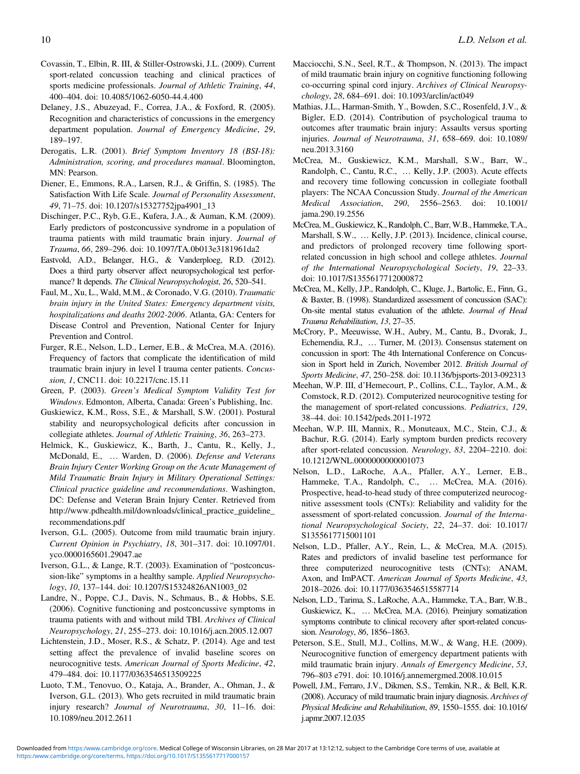- <span id="page-9-0"></span>Covassin, T., Elbin, R. III, & Stiller-Ostrowski, J.L. (2009). Current sport-related concussion teaching and clinical practices of sports medicine professionals. Journal of Athletic Training, 44, 400–404. doi: 10.4085/1062-6050-44.4.400
- Delaney, J.S., Abuzeyad, F., Correa, J.A., & Foxford, R. (2005). Recognition and characteristics of concussions in the emergency department population. Journal of Emergency Medicine, 29, 189–197.
- Derogatis, L.R. (2001). Brief Symptom Inventory 18 (BSI-18): Administration, scoring, and procedures manual. Bloomington, MN: Pearson.
- Diener, E., Emmons, R.A., Larsen, R.J., & Griffin, S. (1985). The Satisfaction With Life Scale. Journal of Personality Assessment, 49, 71–75. doi: 10.1207/s15327752jpa4901\_13
- Dischinger, P.C., Ryb, G.E., Kufera, J.A., & Auman, K.M. (2009). Early predictors of postconcussive syndrome in a population of trauma patients with mild traumatic brain injury. Journal of Trauma, 66, 289–296. doi: 10.1097/TA.0b013e3181961da2
- Eastvold, A.D., Belanger, H.G., & Vanderploeg, R.D. (2012). Does a third party observer affect neuropsychological test performance? It depends. The Clinical Neuropsychologist, 26, 520–541.
- Faul, M., Xu, L., Wald, M.M., & Coronado, V.G. (2010). Traumatic brain injury in the United States: Emergency department visits, hospitalizations and deaths 2002-2006. Atlanta, GA: Centers for Disease Control and Prevention, National Center for Injury Prevention and Control.
- Furger, R.E., Nelson, L.D., Lerner, E.B., & McCrea, M.A. (2016). Frequency of factors that complicate the identification of mild traumatic brain injury in level I trauma center patients. Concussion, 1, CNC11. doi: 10.2217/cnc.15.11
- Green, P. (2003). Green's Medical Symptom Validity Test for Windows. Edmonton, Alberta, Canada: Green's Publishing, Inc.
- Guskiewicz, K.M., Ross, S.E., & Marshall, S.W. (2001). Postural stability and neuropsychological deficits after concussion in collegiate athletes. Journal of Athletic Training, 36, 263–273.
- Helmick, K., Guskiewicz, K., Barth, J., Cantu, R., Kelly, J., McDonald, E., … Warden, D. (2006). Defense and Veterans Brain Injury Center Working Group on the Acute Management of Mild Traumatic Brain Injury in Military Operational Settings: Clinical practice guideline and recommendations. Washington, DC: Defense and Veteran Brain Injury Center. Retrieved from [http://www.pdhealth.mil/downloads/clinical\\_practice\\_guideline\\_](http://www.pdhealth.mil/downloads/clinical_practice_guideline_recommendations.pdf) [recommendations.pdf](http://www.pdhealth.mil/downloads/clinical_practice_guideline_recommendations.pdf)
- Iverson, G.L. (2005). Outcome from mild traumatic brain injury. Current Opinion in Psychiatry, 18, 301–317. doi: 10.1097/01. yco.0000165601.29047.ae
- Iverson, G.L., & Lange, R.T. (2003). Examination of "postconcussion-like" symptoms in a healthy sample. Applied Neuropsychology, 10, 137–144. doi: 10.1207/S15324826AN1003\_02
- Landre, N., Poppe, C.J., Davis, N., Schmaus, B., & Hobbs, S.E. (2006). Cognitive functioning and postconcussive symptoms in trauma patients with and without mild TBI. Archives of Clinical Neuropsychology, 21, 255–273. doi: 10.1016/j.acn.2005.12.007
- Lichtenstein, J.D., Moser, R.S., & Schatz, P. (2014). Age and test setting affect the prevalence of invalid baseline scores on neurocognitive tests. American Journal of Sports Medicine, 42, 479–484. doi: 10.1177/0363546513509225
- Luoto, T.M., Tenovuo, O., Kataja, A., Brander, A., Ohman, J., & Iverson, G.L. (2013). Who gets recruited in mild traumatic brain injury research? Journal of Neurotrauma, 30, 11–16. doi: 10.1089/neu.2012.2611
- Macciocchi, S.N., Seel, R.T., & Thompson, N. (2013). The impact of mild traumatic brain injury on cognitive functioning following co-occurring spinal cord injury. Archives of Clinical Neuropsychology, 28, 684–691. doi: 10.1093/arclin/act049
- Mathias, J.L., Harman-Smith, Y., Bowden, S.C., Rosenfeld, J.V., & Bigler, E.D. (2014). Contribution of psychological trauma to outcomes after traumatic brain injury: Assaults versus sporting injuries. Journal of Neurotrauma, 31, 658–669. doi: 10.1089/ neu.2013.3160
- McCrea, M., Guskiewicz, K.M., Marshall, S.W., Barr, W., Randolph, C., Cantu, R.C., … Kelly, J.P. (2003). Acute effects and recovery time following concussion in collegiate football players: The NCAA Concussion Study. Journal of the American Medical Association, 290, 2556–2563. doi: 10.1001/ jama.290.19.2556
- McCrea, M., Guskiewicz, K., Randolph, C., Barr, W.B., Hammeke, T.A., Marshall, S.W., … Kelly, J.P. (2013). Incidence, clinical course, and predictors of prolonged recovery time following sportrelated concussion in high school and college athletes. Journal of the International Neuropsychological Society, 19, 22–33. doi: 10.1017/S1355617712000872
- McCrea, M., Kelly, J.P., Randolph, C., Kluge, J., Bartolic, E., Finn, G., & Baxter, B. (1998). Standardized assessment of concussion (SAC): On-site mental status evaluation of the athlete. Journal of Head Trauma Rehabilitation, 13, 27–35.
- McCrory, P., Meeuwisse, W.H., Aubry, M., Cantu, B., Dvorak, J., Echemendia, R.J., … Turner, M. (2013). Consensus statement on concussion in sport: The 4th International Conference on Concussion in Sport held in Zurich, November 2012. British Journal of Sports Medicine, 47, 250–258. doi: 10.1136/bjsports-2013-092313
- Meehan, W.P. III, d'Hemecourt, P., Collins, C.L., Taylor, A.M., & Comstock, R.D. (2012). Computerized neurocognitive testing for the management of sport-related concussions. Pediatrics, 129, 38–44. doi: 10.1542/peds.2011-1972
- Meehan, W.P. III, Mannix, R., Monuteaux, M.C., Stein, C.J., & Bachur, R.G. (2014). Early symptom burden predicts recovery after sport-related concussion. Neurology, 83, 2204-2210. doi: 10.1212/WNL.0000000000001073
- Nelson, L.D., LaRoche, A.A., Pfaller, A.Y., Lerner, E.B., Hammeke, T.A., Randolph, C., … McCrea, M.A. (2016). Prospective, head-to-head study of three computerized neurocognitive assessment tools (CNTs): Reliability and validity for the assessment of sport-related concussion. Journal of the International Neuropsychological Society, 22, 24–37. doi: 10.1017/ S1355617715001101
- Nelson, L.D., Pfaller, A.Y., Rein, L., & McCrea, M.A. (2015). Rates and predictors of invalid baseline test performance for three computerized neurocognitive tests (CNTs): ANAM, Axon, and ImPACT. American Journal of Sports Medicine, 43, 2018–2026. doi: 10.1177/0363546515587714
- Nelson, L.D., Tarima, S., LaRoche, A.A., Hammeke, T.A., Barr, W.B., Guskiewicz, K., … McCrea, M.A. (2016). Preinjury somatization symptoms contribute to clinical recovery after sport-related concussion. Neurology, 86, 1856–1863.
- Peterson, S.E., Stull, M.J., Collins, M.W., & Wang, H.E. (2009). Neurocognitive function of emergency department patients with mild traumatic brain injury. Annals of Emergency Medicine, 53, 796–803 e791. doi: 10.1016/j.annemergmed.2008.10.015
- Powell, J.M., Ferraro, J.V., Dikmen, S.S., Temkin, N.R., & Bell, K.R. (2008). Accuracy of mild traumatic brain injury diagnosis. Archives of Physical Medicine and Rehabilitation, 89, 1550–1555. doi: 10.1016/ j.apmr.2007.12.035